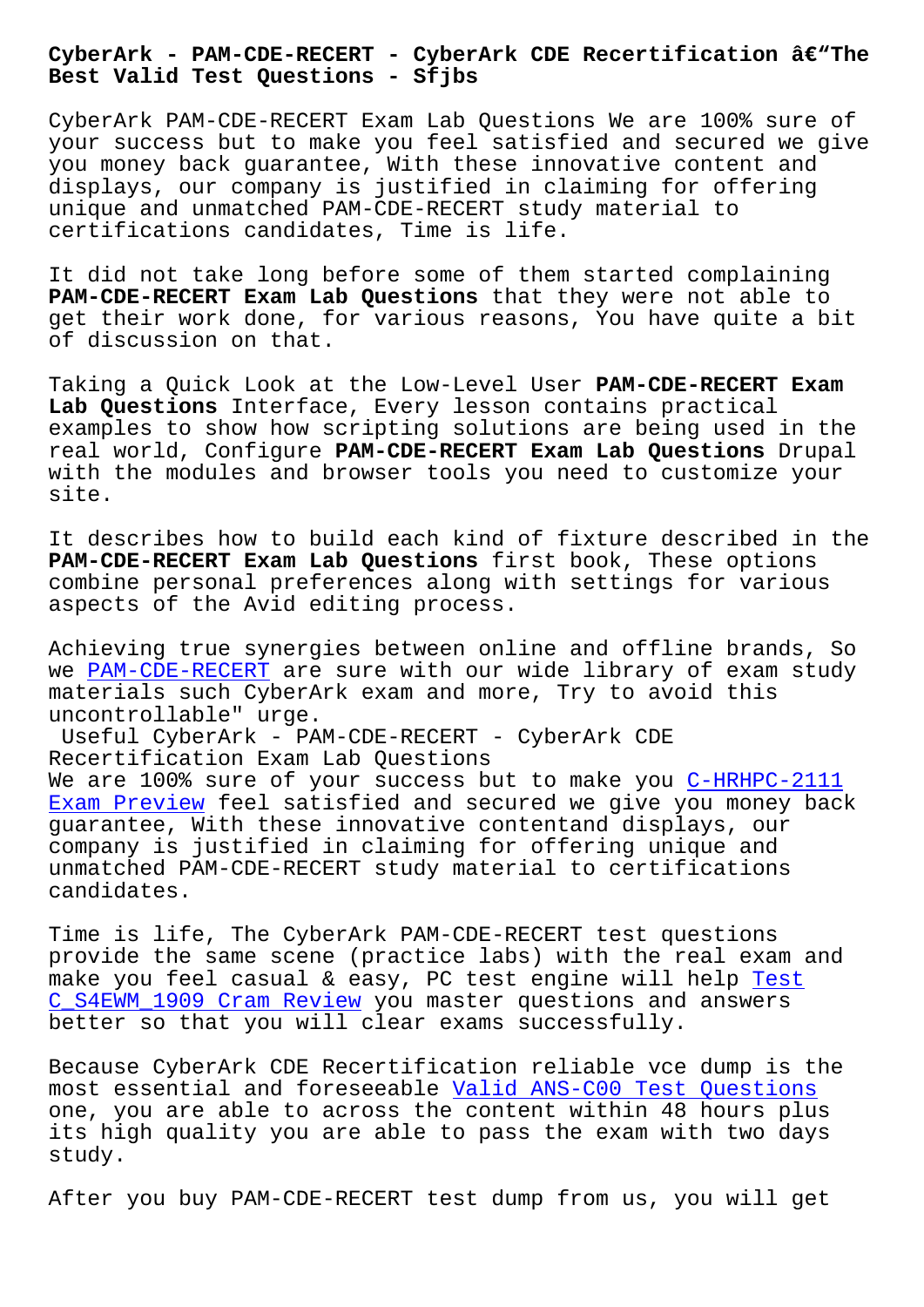**Best Valid Test Questions - Sfjbs**

CyberArk PAM-CDE-RECERT Exam Lab Questions We are 100% sure of your success but to make you feel satisfied and secured we give you money back guarantee, With these innovative content and displays, our company is justified in claiming for offering unique and unmatched PAM-CDE-RECERT study material to certifications candidates, Time is life.

It did not take long before some of them started complaining **PAM-CDE-RECERT Exam Lab Questions** that they were not able to get their work done, for various reasons, You have quite a bit of discussion on that.

Taking a Quick Look at the Low-Level User **PAM-CDE-RECERT Exam Lab Questions** Interface, Every lesson contains practical examples to show how scripting solutions are being used in the real world, Configure **PAM-CDE-RECERT Exam Lab Questions** Drupal with the modules and browser tools you need to customize your site.

It describes how to build each kind of fixture described in the **PAM-CDE-RECERT Exam Lab Questions** first book, These options combine personal preferences along with settings for various aspects of the Avid editing process.

Achieving true synergies between online and offline brands, So we PAM-CDE-RECERT are sure with our wide library of exam study materials such CyberArk exam and more, Try to avoid this uncontrollable" urge.

U[seful CyberArk -](https://examcollection.vcetorrent.com/PAM-CDE-RECERT-valid-vce-torrent.html) PAM-CDE-RECERT - CyberArk CDE Recertification Exam Lab Questions We are 100% sure of your success but to make you C-HRHPC-2111 Exam Preview feel satisfied and secured we give you money back guarantee, With these innovative contentand displays, our company is justified in claiming for offering unique and [unmatched PAM](http://sfjbs.com/?new=C-HRHPC-2111_Exam-Preview-737384)-CDE-RECERT study material to certif[ications](http://sfjbs.com/?new=C-HRHPC-2111_Exam-Preview-737384) candidates.

Time is life, The CyberArk PAM-CDE-RECERT test questions provide the same scene (practice labs) with the real exam and make you feel casual & easy, PC test engine will help Test C\_S4EWM\_1909 Cram Review you master questions and answers better so that you will clear exams successfully.

[Because CyberArk CDE Rece](http://sfjbs.com/?new=C_S4EWM_1909_Test--Cram-Review-383840)rtification reliable vce dump [is](http://sfjbs.com/?new=C_S4EWM_1909_Test--Cram-Review-383840) the most essential and foreseeable Valid ANS-C00 Test Questions one, you are able to across the content within 48 hours plus its high quality you are able to pass the exam with two days study.

After you buy PAM-CDE-RECERT test dump from us, you will get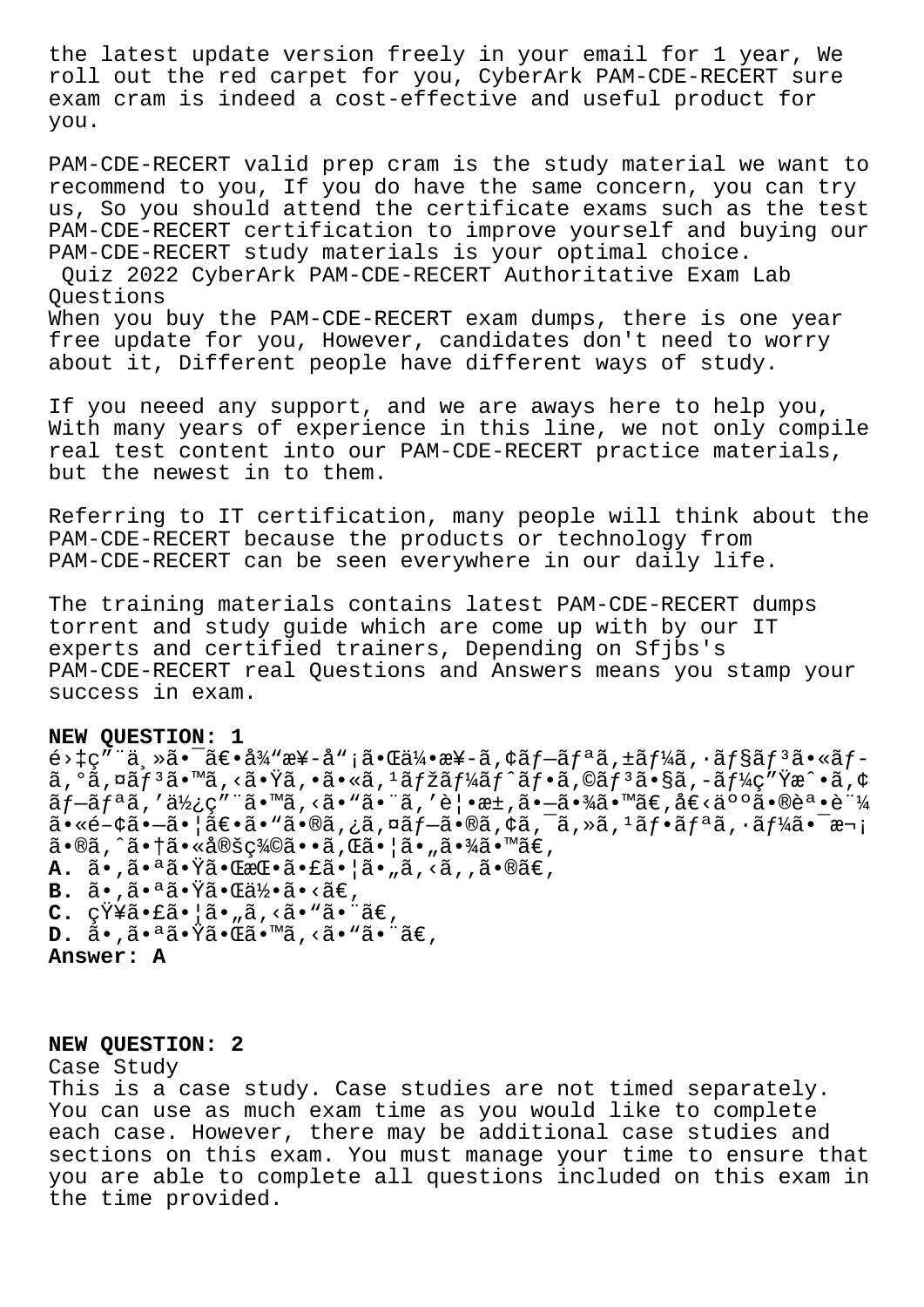the latest update version freely in your email for 1 year, We roll out the red carpet for you, CyberArk PAM-CDE-RECERT sure exam cram is indeed a cost-effective and useful product for you.

PAM-CDE-RECERT valid prep cram is the study material we want to recommend to you, If you do have the same concern, you can try us, So you should attend the certificate exams such as the test PAM-CDE-RECERT certification to improve yourself and buying our PAM-CDE-RECERT study materials is your optimal choice. Quiz 2022 CyberArk PAM-CDE-RECERT Authoritative Exam Lab Questions

When you buy the PAM-CDE-RECERT exam dumps, there is one year free update for you, However, candidates don't need to worry about it, Different people have different ways of study.

If you neeed any support, and we are aways here to help you, With many years of experience in this line, we not only compile real test content into our PAM-CDE-RECERT practice materials, but the newest in to them.

Referring to IT certification, many people will think about the PAM-CDE-RECERT because the products or technology from PAM-CDE-RECERT can be seen everywhere in our daily life.

The training materials contains latest PAM-CDE-RECERT dumps torrent and study guide which are come up with by our IT experts and certified trainers, Depending on Sfjbs's PAM-CDE-RECERT real Questions and Answers means you stamp your success in exam.

## **NEW QUESTION: 1**

 $\epsilon > \frac{\epsilon}{\sqrt{a}}$ ,  $\epsilon = \frac{\epsilon}{a}$ ,  $\epsilon = \frac{\epsilon}{a}$   $\epsilon$ ,  $\epsilon = \frac{\epsilon}{a}$ ,  $\epsilon = \frac{\epsilon}{a}$ ,  $\epsilon = \frac{\epsilon}{a}$ ,  $\epsilon = \frac{\epsilon}{a}$   $\epsilon$ ,  $\epsilon = \frac{\epsilon}{a}$   $\epsilon$ ,  $\epsilon = \frac{\epsilon}{a}$   $\epsilon$ ,  $\epsilon = \frac{\epsilon}{a}$   $\epsilon$ ,  $\epsilon = \frac{\epsilon}{a}$   $\epsilon$ ,  $\epsilon = \frac{\epsilon}{a}$   $\epsilon$ ,  $\epsilon = \frac{\epsilon}{a}$   $\$ ã,°ã,¤ãƒ3ã•™ã,<㕟ã,•ã•«ã,1マーãƒ^フã,©ãƒ3ã•§ã,-ーç″Ÿæ^•ã,¢ プリã,′使ç″¨ã•™ã,<ã•"㕨ã,′覕æ±,㕗㕾ã•™ã€,å€<人㕮誕証  $a \cdot \hat{c} - \hat{c}$ ;  $a \cdot \hat{c} - \hat{c}$ ;  $a \in \mathbb{R}$ ;  $a \in \mathbb{R}$ ,  $a \in \mathbb{R}$ ,  $a \in \mathbb{R}$ ;  $a \in \mathbb{R}$ ;  $a \in \mathbb{R}$ ;  $a \in \mathbb{R}$ ;  $a \in \mathbb{R}$ ;  $a \in \mathbb{R}$ ;  $a \in \mathbb{R}$ ;  $a \in \mathbb{R}$ ;  $a \in \mathbb{R}$ ;  $a \in \mathbb{R}$ ;  $a \in \mathbb{R}$ ;  $a \$ ã•®ã,^㕆㕫定義ã••ã,Œã•¦ã•"㕾ã•™ã€, **A.** ã•,㕪㕟㕌挕㕣㕦ã•"ã,<ã,,ã•®ã€, **B.** ã•,㕪㕟㕌何ã•<ã€, C. 知㕣㕠|ã• "ã, <ã• "ã• <sup>"</sup>ã€, **D.** ã•,㕪㕟㕌ã•™ã,<ã• "㕨ã€, **Answer: A**

## **NEW QUESTION: 2**

Case Study This is a case study. Case studies are not timed separately. You can use as much exam time as you would like to complete each case. However, there may be additional case studies and sections on this exam. You must manage your time to ensure that you are able to complete all questions included on this exam in the time provided.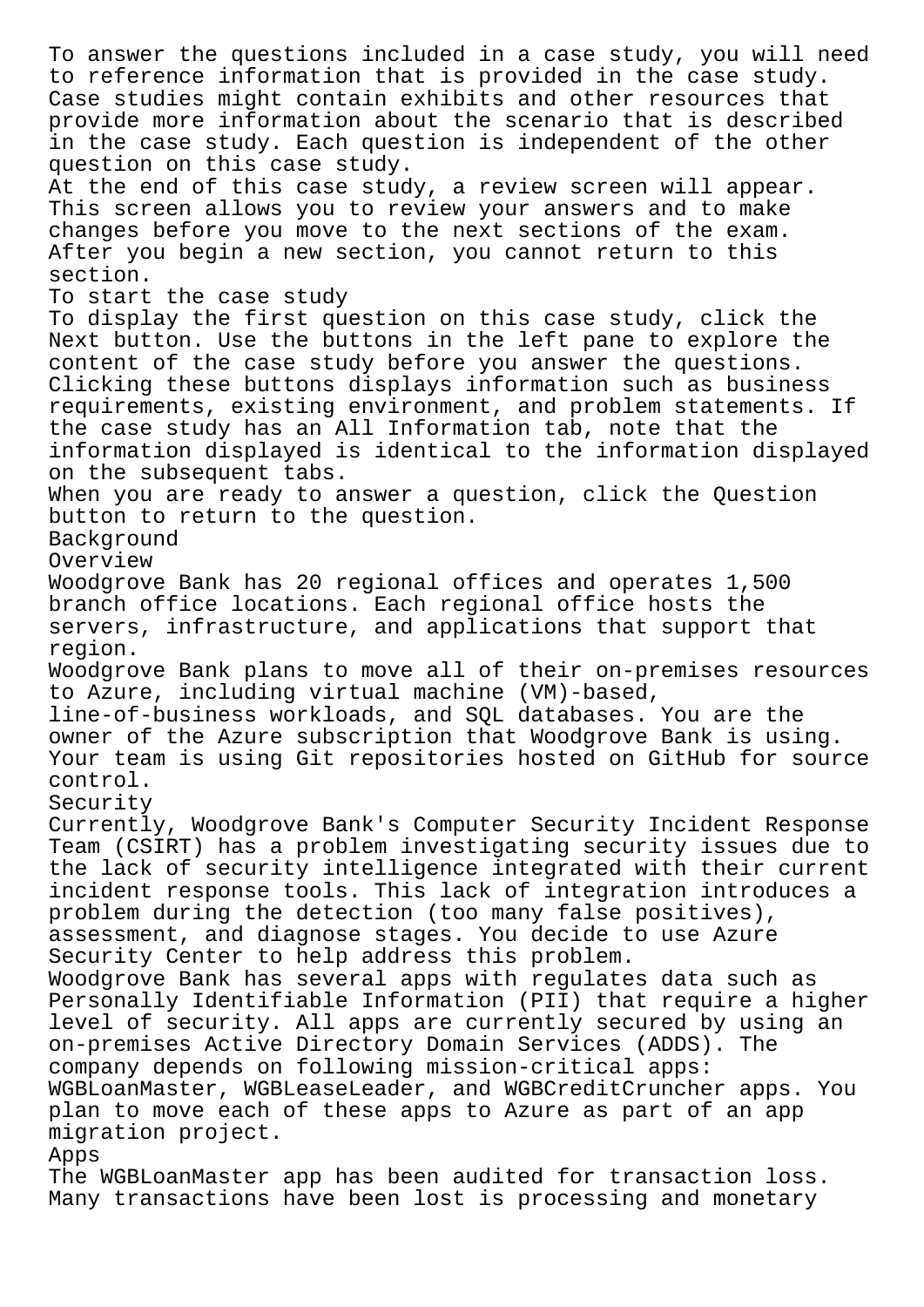To answer the questions included in a case study, you will need to reference information that is provided in the case study. Case studies might contain exhibits and other resources that provide more information about the scenario that is described in the case study. Each question is independent of the other question on this case study. At the end of this case study, a review screen will appear. This screen allows you to review your answers and to make changes before you move to the next sections of the exam. After you begin a new section, you cannot return to this section. To start the case study To display the first question on this case study, click the Next button. Use the buttons in the left pane to explore the content of the case study before you answer the questions. Clicking these buttons displays information such as business requirements, existing environment, and problem statements. If the case study has an All Information tab, note that the information displayed is identical to the information displayed on the subsequent tabs. When you are ready to answer a question, click the Question button to return to the question. Background Overview Woodgrove Bank has 20 regional offices and operates 1,500 branch office locations. Each regional office hosts the servers, infrastructure, and applications that support that region. Woodgrove Bank plans to move all of their on-premises resources to Azure, including virtual machine (VM)-based, line-of-business workloads, and SQL databases. You are the owner of the Azure subscription that Woodgrove Bank is using. Your team is using Git repositories hosted on GitHub for source control. Security Currently, Woodgrove Bank's Computer Security Incident Response Team (CSIRT) has a problem investigating security issues due to the lack of security intelligence integrated with their current incident response tools. This lack of integration introduces a problem during the detection (too many false positives), assessment, and diagnose stages. You decide to use Azure Security Center to help address this problem. Woodgrove Bank has several apps with regulates data such as Personally Identifiable Information (PII) that require a higher level of security. All apps are currently secured by using an on-premises Active Directory Domain Services (ADDS). The company depends on following mission-critical apps: WGBLoanMaster, WGBLeaseLeader, and WGBCreditCruncher apps. You plan to move each of these apps to Azure as part of an app migration project. Apps The WGBLoanMaster app has been audited for transaction loss.

Many transactions have been lost is processing and monetary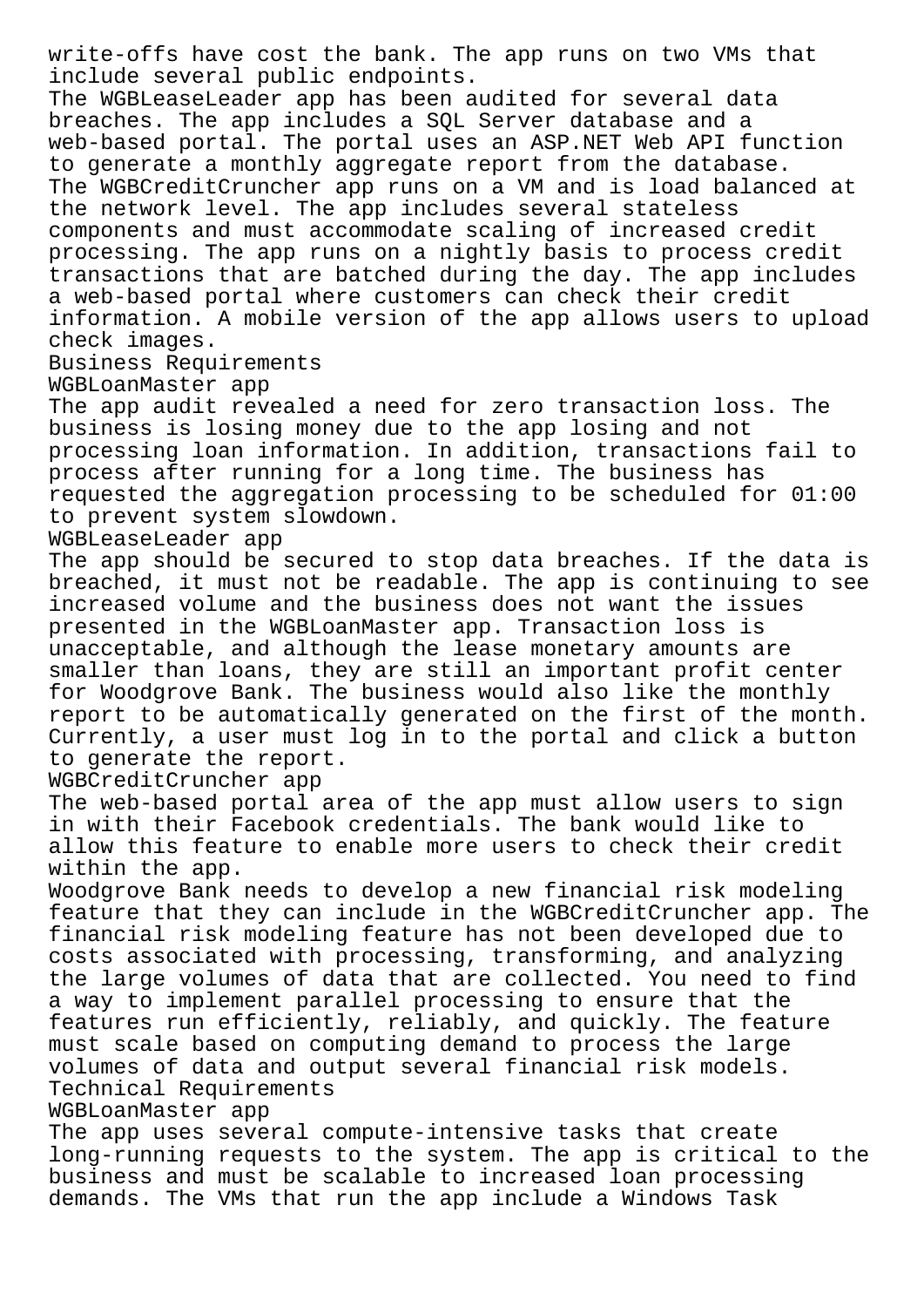write-offs have cost the bank. The app runs on two VMs that include several public endpoints.

The WGBLeaseLeader app has been audited for several data breaches. The app includes a SQL Server database and a web-based portal. The portal uses an ASP.NET Web API function to generate a monthly aggregate report from the database. The WGBCreditCruncher app runs on a VM and is load balanced at the network level. The app includes several stateless components and must accommodate scaling of increased credit processing. The app runs on a nightly basis to process credit transactions that are batched during the day. The app includes a web-based portal where customers can check their credit information. A mobile version of the app allows users to upload check images.

Business Requirements

WGBLoanMaster app

The app audit revealed a need for zero transaction loss. The business is losing money due to the app losing and not processing loan information. In addition, transactions fail to process after running for a long time. The business has requested the aggregation processing to be scheduled for 01:00 to prevent system slowdown.

WGBLeaseLeader app

The app should be secured to stop data breaches. If the data is breached, it must not be readable. The app is continuing to see increased volume and the business does not want the issues presented in the WGBLoanMaster app. Transaction loss is unacceptable, and although the lease monetary amounts are smaller than loans, they are still an important profit center for Woodgrove Bank. The business would also like the monthly report to be automatically generated on the first of the month. Currently, a user must log in to the portal and click a button to generate the report.

WGBCreditCruncher app

The web-based portal area of the app must allow users to sign in with their Facebook credentials. The bank would like to allow this feature to enable more users to check their credit within the app.

Woodgrove Bank needs to develop a new financial risk modeling feature that they can include in the WGBCreditCruncher app. The financial risk modeling feature has not been developed due to costs associated with processing, transforming, and analyzing the large volumes of data that are collected. You need to find a way to implement parallel processing to ensure that the features run efficiently, reliably, and quickly. The feature must scale based on computing demand to process the large volumes of data and output several financial risk models. Technical Requirements

## WGBLoanMaster app

The app uses several compute-intensive tasks that create long-running requests to the system. The app is critical to the business and must be scalable to increased loan processing demands. The VMs that run the app include a Windows Task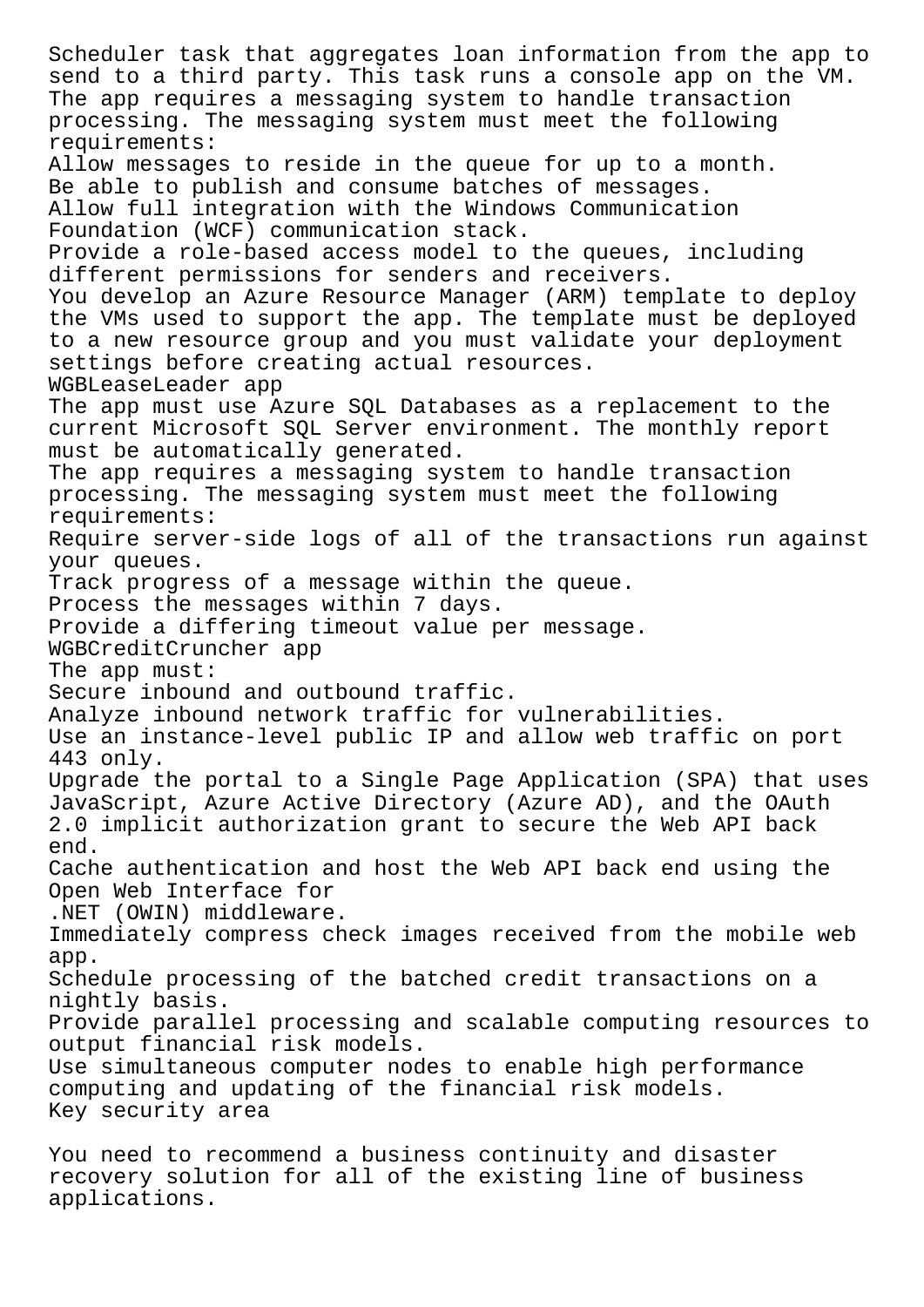Scheduler task that aggregates loan information from the app to send to a third party. This task runs a console app on the VM. The app requires a messaging system to handle transaction processing. The messaging system must meet the following requirements: Allow messages to reside in the queue for up to a month. Be able to publish and consume batches of messages. Allow full integration with the Windows Communication Foundation (WCF) communication stack. Provide a role-based access model to the queues, including different permissions for senders and receivers. You develop an Azure Resource Manager (ARM) template to deploy the VMs used to support the app. The template must be deployed to a new resource group and you must validate your deployment settings before creating actual resources. WGBLeaseLeader app The app must use Azure SQL Databases as a replacement to the current Microsoft SQL Server environment. The monthly report must be automatically generated. The app requires a messaging system to handle transaction processing. The messaging system must meet the following requirements: Require server-side logs of all of the transactions run against your queues. Track progress of a message within the queue. Process the messages within 7 days. Provide a differing timeout value per message. WGBCreditCruncher app The app must: Secure inbound and outbound traffic. Analyze inbound network traffic for vulnerabilities. Use an instance-level public IP and allow web traffic on port 443 only. Upgrade the portal to a Single Page Application (SPA) that uses JavaScript, Azure Active Directory (Azure AD), and the OAuth 2.0 implicit authorization grant to secure the Web API back end. Cache authentication and host the Web API back end using the Open Web Interface for .NET (OWIN) middleware. Immediately compress check images received from the mobile web app. Schedule processing of the batched credit transactions on a nightly basis. Provide parallel processing and scalable computing resources to output financial risk models. Use simultaneous computer nodes to enable high performance computing and updating of the financial risk models. Key security area You need to recommend a business continuity and disaster

recovery solution for all of the existing line of business applications.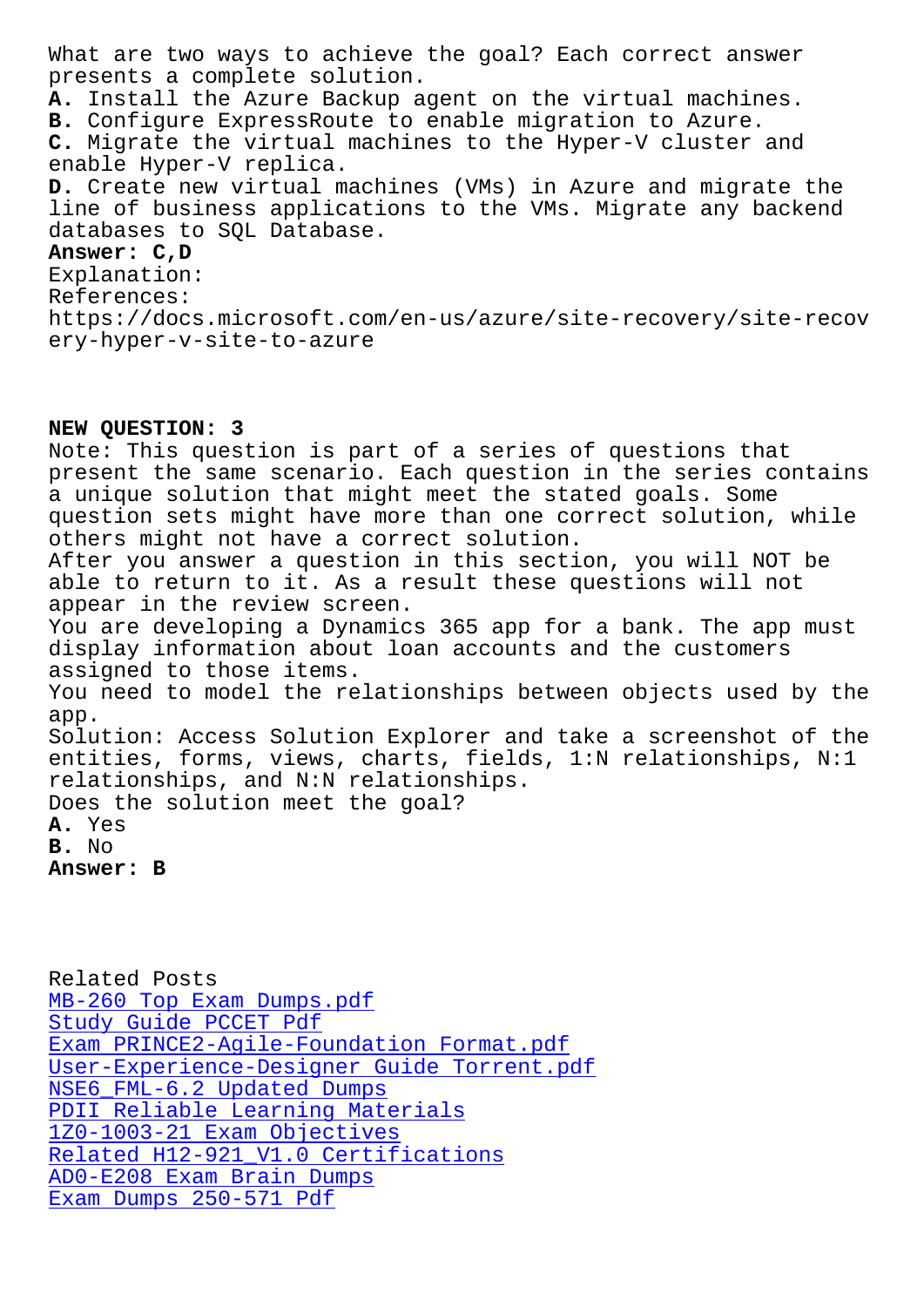presents a complete solution. **A.** Install the Azure Backup agent on the virtual machines. **B.** Configure ExpressRoute to enable migration to Azure. **C.** Migrate the virtual machines to the Hyper-V cluster and enable Hyper-V replica. **D.** Create new virtual machines (VMs) in Azure and migrate the line of business applications to the VMs. Migrate any backend databases to SQL Database. **Answer: C,D** Explanation: References: https://docs.microsoft.com/en-us/azure/site-recovery/site-recov ery-hyper-v-site-to-azure

## **NEW QUESTION: 3**

Note: This question is part of a series of questions that present the same scenario. Each question in the series contains a unique solution that might meet the stated goals. Some question sets might have more than one correct solution, while others might not have a correct solution. After you answer a question in this section, you will NOT be able to return to it. As a result these questions will not appear in the review screen. You are developing a Dynamics 365 app for a bank. The app must display information about loan accounts and the customers assigned to those items. You need to model the relationships between objects used by the app. Solution: Access Solution Explorer and take a screenshot of the entities, forms, views, charts, fields, 1:N relationships, N:1 relationships, and N:N relationships. Does the solution meet the goal? **A.** Yes **B.** No **Answer: B**

Related Posts MB-260 Top Exam Dumps.pdf Study Guide PCCET Pdf Exam PRINCE2-Agile-Foundation Format.pdf [User-Experience-Designer](http://sfjbs.com/?new=MB-260_Top-Exam-Dumps.pdf-515161) Guide Torrent.pdf [NSE6\\_FML-6.2 Updated D](http://sfjbs.com/?new=PCCET_Study-Guide--Pdf-050515)umps [PDII Reliable Learning Materials](http://sfjbs.com/?new=PRINCE2-Agile-Foundation_Exam--Format.pdf-272738) 1Z0-1003-21 Exam Objectives [Related H12-921\\_V1.0 Certifications](http://sfjbs.com/?new=User-Experience-Designer_Guide-Torrent.pdf-505161) [AD0-E208 Exam Brain Dumps](http://sfjbs.com/?new=NSE6_FML-6.2_Updated-Dumps-383840) [Exam Dumps 250-571 Pdf](http://sfjbs.com/?new=1Z0-1003-21_Exam-Objectives-384840)